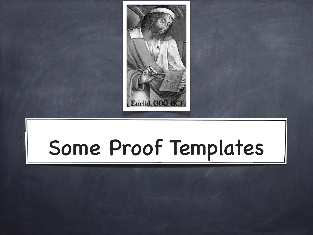

# Some Proof Templates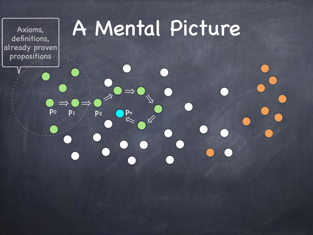Axioms, definitions, already proven propositions

# A Mental Picture

 $\frac{1}{\sqrt{2}}$ 

<sup>㱺</sup> <sup>㱺</sup> <sup>㱺</sup> <sup>㱺</sup>

pn

 $p_0$   $p_1$   $p_2$ 

 $\rightarrow$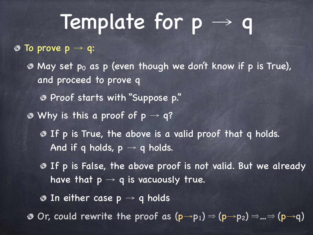## Template for p → q

 $\bullet$  To prove  $p \rightarrow q$ :

 $\odot$  May set po as p (even though we don't know if p is True), and proceed to prove q Proof starts with "Suppose p."  $\bullet$  Why is this a proof of  $p \rightarrow q$ ? If p is True, the above is a valid proof that q holds.

And if q holds,  $p \rightarrow q$  holds.

**If p is False, the above proof is not valid. But we already** have that  $p \rightarrow q$  is vacuously true.

 $\bullet$  In either case  $p \rightarrow q$  holds

 $\circledast$  Or, could rewrite the proof as  $(p\rightarrow p_1) \Rightarrow (p\rightarrow p_2) \Rightarrow ... \Rightarrow (p\rightarrow q)$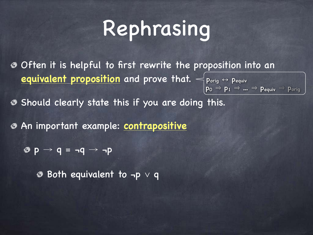# Rephrasing

Often it is helpful to first rewrite the proposition into an **equivalent proposition** and prove that. < porig ↔ pequiv  $\mathsf{p}_0 \Rightarrow \mathsf{p}_1 \Rightarrow ... \Rightarrow \mathsf{p}_{\mathsf{equiv}} \Rightarrow \mathsf{p}_{\mathsf{orig}}$ 

**B** Should clearly state this if you are doing this.

An important example: **contrapositive**

 $\bullet p \rightarrow q = \neg q \rightarrow \neg p$ 

Both equivalent to ¬p ∨ q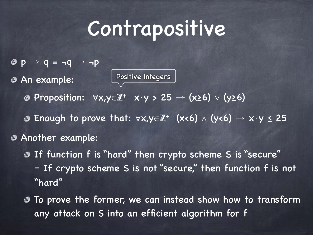## Contrapositive

 $\bullet$  p  $\rightarrow$  q = ¬q  $\rightarrow$  ¬p An example:

Positive integers

Proposition:  $\forall x, y \in \mathbb{Z}^+ \mid x \cdot y > 25 \rightarrow (x \geq 6) \vee (y \geq 6)$ Enough to prove that:  $\forall x, y \in \mathbb{Z}^+$  (x<6)  $\wedge$  (y<6)  $\rightarrow x \cdot y \leq 25$ Another example:

- If function f is "hard" then crypto scheme S is "secure" ≡ If crypto scheme S is not "secure," then function f is not "hard"
- To prove the former, we can instead show how to transform any attack on S into an efficient algorithm for f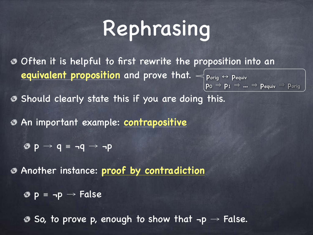# Rephrasing

Often it is helpful to first rewrite the proposition into an **equivalent proposition** and prove that. < porig ↔ pequiv  $\mathsf{p}_0 \Rightarrow \mathsf{p}_1 \Rightarrow ... \Rightarrow \mathsf{p}_{\mathsf{equiv}} \Rightarrow \mathsf{p}_{\mathsf{orig}}$ 

**Should clearly state this if you are doing this.** 

An important example: **contrapositive**

 $\bullet$  p  $\rightarrow$  q = ¬q  $\rightarrow$  ¬p

Another instance: **proof by contradiction**

 $\circledcirc p \equiv \neg p \rightarrow False$ 

 $\circledast$  So, to prove p, enough to show that  $\neg p \rightarrow$  False.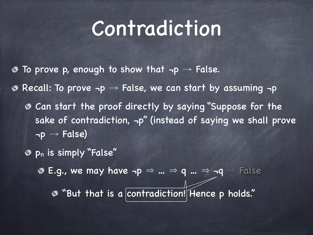## Contradiction

- To prove p, enough to show that  $\neg p \rightarrow$  False. ◈  $\odot$  Recall: To prove  $\neg p \rightarrow$  False, we can start by assuming  $\neg p$ Can start the proof directly by saying "Suppose for the sake of contradiction, ¬p" (instead of saying we shall prove  $\neg p \rightarrow False$ 
	- pn is simply "False"

 $\odot$  E.g., we may have  $\neg p \Rightarrow ... \Rightarrow q ... \Rightarrow \neg q \Rightarrow$  False

"But that is a contradiction! Hence p holds."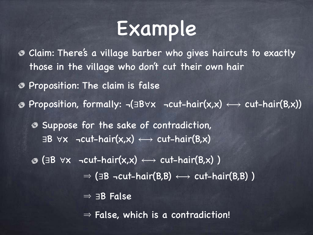### Example

Claim: There's a village barber who gives haircuts to exactly those in the village who don't cut their own hair

Proposition: The claim is false

Proposition, formally: ¬(∃B∀x ¬cut-hair(x,x) ⟷ cut-hair(B,x))

Suppose for the sake of contradiction,  $\exists B \forall x$  ¬cut-hair(x,x)  $\longleftrightarrow$  cut-hair(B,x)

 $\circledcirc$  (∃B  $\forall x$  ¬cut-hair(x,x)  $\longleftrightarrow$  cut-hair(B,x))  $\Rightarrow$  ( $\exists B$  ¬cut-hair( $B,B$ )  $\longleftrightarrow$  cut-hair( $B,B$ ))  $\Rightarrow$   $\exists B$  False

 $\Rightarrow$  False, which is a contradiction!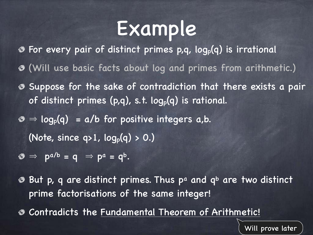## Example

- For every pair of distinct primes p,q, logp(q) is irrational
- (Will use basic facts about log and primes from arithmetic.)
- **Suppose for the sake of contradiction that there exists a pair** of distinct primes  $(p,q)$ , s.t.  $log_p(q)$  is rational.
- $\phi \Rightarrow log_p(q) = a/b$  for positive integers a,b.

(Note, since  $q>1$ ,  $log_p(q) > 0.$ )

- $\mathbf{\Theta} \Rightarrow \mathbf{p}^{a/b} = \mathbf{q} \Rightarrow \mathbf{p}^a = \mathbf{q}^b$ .
- **But p, q are distinct primes. Thus pa and qb are two distinct** prime factorisations of the same integer!
- Contradicts the Fundamental Theorem of Arithmetic!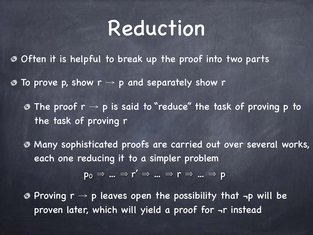#### Reduction

Often it is helpful to break up the proof into two parts

 $\bullet$  To prove p, show  $r \rightarrow p$  and separately show r

 $\odot$  The proof  $r \rightarrow p$  is said to "reduce" the task of proving p to the task of proving r

Many sophisticated proofs are carried out over several works, each one reducing it to a simpler problem

$$
\mathsf{p}_0 \Rightarrow \dots \Rightarrow \mathsf{r}' \Rightarrow \dots \Rightarrow \mathsf{r} \Rightarrow \dots \Rightarrow \mathsf{p}
$$

 $\odot$  Proving  $r \rightarrow p$  leaves open the possibility that  $\neg p$  will be proven later, which will yield a proof for ¬r instead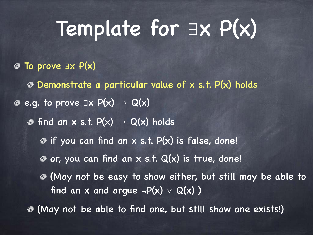## Template for ∃x P(x)

#### To prove ∃x P(x)

- Demonstrate a particular value of x s.t. P(x) holds
- $\circledcirc$  e.g. to prove  $\exists x \ P(x) \rightarrow Q(x)$ 
	- $\circledcirc$  find an x s.t.  $P(x) \rightarrow Q(x)$  holds
		- $\odot$  if you can find an x s.t.  $P(x)$  is false, done!
		- $\bullet$  or, you can find an x s.t.  $Q(x)$  is true, done!
		- (May not be easy to show either, but still may be able to find an x and argue  $\neg P(x) \vee Q(x)$ )
	- (May not be able to find one, but still show one exists!)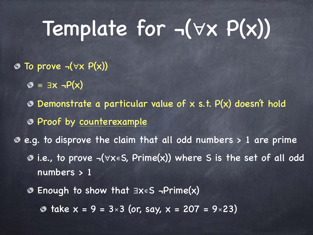# Template for ¬(∀x P(x))

- To prove ¬(∀x P(x))
	- $\mathcal{D} = \exists x \neg P(x)$
	- Demonstrate a particular value of x s.t. P(x) doesn't hold
	- Proof by counterexample
- e.g. to disprove the claim that all odd numbers > 1 are prime i.e., to prove ¬(∀x∊S, Prime(x)) where S is the set of all odd numbers > 1
	- Enough to show that ∃x∊S ¬Prime(x)
		- $\textcircled{a}$  take  $x = 9 = 3 \times 3$  (or, say,  $x = 207 = 9 \times 23$ )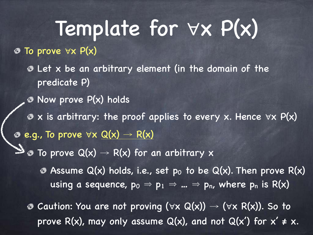Template for ∀x P(x) To prove ∀x P(x) Let x be an arbitrary element (in the domain of the predicate P)  $\bullet$  Now prove  $P(x)$  holds x is arbitrary: the proof applies to every x. Hence ∀x P(x)  $e.g.,$  To prove  $\forall x \ Q(x) \rightarrow R(x)$  $\mathbb{Z}$   $\bullet$  To prove Q(x)  $\rightarrow$  R(x) for an arbitrary x  $\bullet$  Assume Q(x) holds, i.e., set p<sub>0</sub> to be Q(x). Then prove R(x) using a sequence,  $p_0 \Rightarrow p_1 \Rightarrow ... \Rightarrow p_n$ , where  $p_n$  is R(x) **©** Caution: You are not proving ( $\forall$ x Q(x)) → ( $\forall$ x R(x)). So to prove R(x), may only assume  $Q(x)$ , and not  $Q(x')$  for  $x' \neq x$ .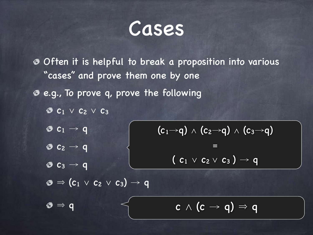Cases

Often it is helpful to break a proposition into various "cases" and prove them one by one

- e.g., To prove q, prove the following
	- c<sup>1</sup> ∨ c<sup>2</sup> ∨ c<sup>3</sup>
	- $\otimes$  c<sub>1</sub>  $\rightarrow$  q
	- $\otimes$  c<sub>2</sub>  $\rightarrow$  q
	- $\bullet$   $c_3 \rightarrow q$

 $\mathbf{\circ}$   $\Rightarrow$  (c<sub>1</sub>  $\vee$  c<sub>2</sub>  $\vee$  c<sub>3</sub>)  $\rightarrow$  q

 $(c_1\rightarrow q) \wedge (c_2\rightarrow q) \wedge (c_3\rightarrow q)$ ≡  $(c_1 \vee c_2 \vee c_3) \rightarrow q$ 

 $\circ \Rightarrow q$  c  $\land$  (c  $\rightarrow$  q)  $\Rightarrow$  q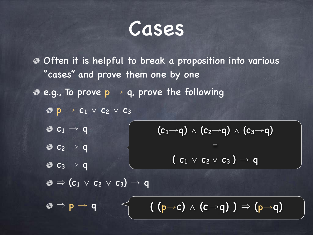Cases

Often it is helpful to break a proposition into various "cases" and prove them one by one

 $e.g.,$  To prove  $p \rightarrow q$ , prove the following

 $\bullet$  p  $\rightarrow$  c<sub>1</sub>  $\vee$  c<sub>2</sub>  $\vee$  c<sub>3</sub>

- $\otimes$  c<sub>1</sub>  $\rightarrow$  q
- $\bullet$   $c_2 \rightarrow q$

 $\otimes$  c<sub>3</sub>  $\rightarrow$  q

 $(c_1\rightarrow q) \wedge (c_2\rightarrow q) \wedge (c_3\rightarrow q)$ ≡

$$
(c_1 \vee c_2 \vee c_3) \rightarrow q
$$

 $\mathbf{\odot} \Rightarrow (\mathbf{c}_1 \vee \mathbf{c}_2 \vee \mathbf{c}_3) \rightarrow \mathbf{q}$ 

 $\circ \Rightarrow p \rightarrow q \qquad (\mathbf{p} \rightarrow c) \land (c \rightarrow q) \Rightarrow (p \rightarrow q)$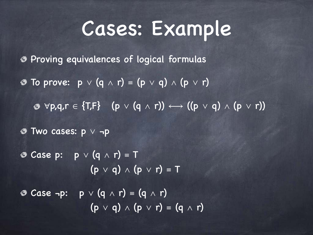### Cases: Example

Proving equivalences of logical formulas

- To prove: p ∨ (q ∧ r) ≡ (p ∨ q) ∧ (p ∨ r)
	- $\circledcirc \forall p,q,r \in \{T,F\}$  (p  $\vee$  (q  $\wedge$  r))  $\longleftrightarrow$  ((p  $\vee$  q)  $\wedge$  (p  $\vee$  r))

Two cases: p ∨ ¬p

Case p: p ∨ (q ∧ r) ≡ T  $(p \lor q) \land (p \lor r) = T$ Case ¬p: p ∨ (q ∧ r) ≡ (q ∧ r)  $(p \lor q) \land (p \lor r) = (q \land r)$